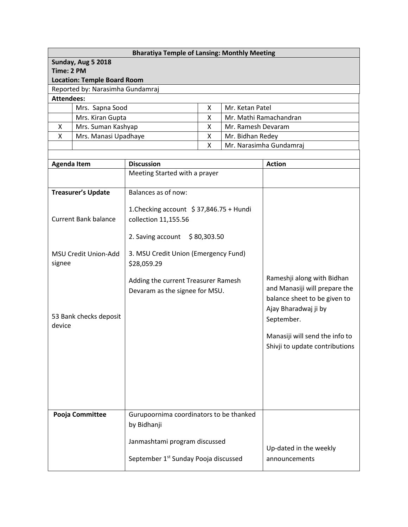| <b>Bharatiya Temple of Lansing: Monthly Meeting</b>   |                             |                                                     |  |                         |                                |  |  |  |  |
|-------------------------------------------------------|-----------------------------|-----------------------------------------------------|--|-------------------------|--------------------------------|--|--|--|--|
| Sunday, Aug 5 2018                                    |                             |                                                     |  |                         |                                |  |  |  |  |
| Time: 2 PM                                            |                             |                                                     |  |                         |                                |  |  |  |  |
| <b>Location: Temple Board Room</b>                    |                             |                                                     |  |                         |                                |  |  |  |  |
| Reported by: Narasimha Gundamraj<br><b>Attendees:</b> |                             |                                                     |  |                         |                                |  |  |  |  |
|                                                       | Mrs. Sapna Sood             | Mr. Ketan Patel<br>X.                               |  |                         |                                |  |  |  |  |
|                                                       | Mrs. Kiran Gupta            | Χ                                                   |  | Mr. Mathi Ramachandran  |                                |  |  |  |  |
| X                                                     | Mrs. Suman Kashyap          | X<br>Mr. Ramesh Devaram                             |  |                         |                                |  |  |  |  |
| X                                                     | Mrs. Manasi Upadhaye        | Mr. Bidhan Redey<br>X                               |  |                         |                                |  |  |  |  |
|                                                       |                             | X                                                   |  | Mr. Narasimha Gundamraj |                                |  |  |  |  |
|                                                       |                             |                                                     |  |                         |                                |  |  |  |  |
| <b>Agenda Item</b>                                    |                             | <b>Discussion</b>                                   |  | <b>Action</b>           |                                |  |  |  |  |
|                                                       |                             | Meeting Started with a prayer                       |  |                         |                                |  |  |  |  |
|                                                       |                             |                                                     |  |                         |                                |  |  |  |  |
|                                                       | <b>Treasurer's Update</b>   | Balances as of now:                                 |  |                         |                                |  |  |  |  |
|                                                       |                             | 1. Checking account $\frac{1}{2}$ 37,846.75 + Hundi |  |                         |                                |  |  |  |  |
|                                                       | <b>Current Bank balance</b> | collection 11,155.56                                |  |                         |                                |  |  |  |  |
|                                                       |                             |                                                     |  |                         |                                |  |  |  |  |
|                                                       |                             | 2. Saving account \$80,303.50                       |  |                         |                                |  |  |  |  |
|                                                       |                             |                                                     |  |                         |                                |  |  |  |  |
| MSU Credit Union-Add<br>signee                        |                             | 3. MSU Credit Union (Emergency Fund)                |  |                         |                                |  |  |  |  |
|                                                       |                             | \$28,059.29                                         |  |                         |                                |  |  |  |  |
|                                                       |                             | Adding the current Treasurer Ramesh                 |  |                         | Rameshji along with Bidhan     |  |  |  |  |
|                                                       |                             | Devaram as the signee for MSU.                      |  |                         | and Manasiji will prepare the  |  |  |  |  |
|                                                       |                             |                                                     |  |                         | balance sheet to be given to   |  |  |  |  |
|                                                       | 53 Bank checks deposit      |                                                     |  |                         | Ajay Bharadwaj ji by           |  |  |  |  |
| device                                                |                             |                                                     |  |                         | September.                     |  |  |  |  |
|                                                       |                             |                                                     |  |                         | Manasiji will send the info to |  |  |  |  |
|                                                       |                             |                                                     |  |                         | Shivji to update contributions |  |  |  |  |
|                                                       |                             |                                                     |  |                         |                                |  |  |  |  |
|                                                       |                             |                                                     |  |                         |                                |  |  |  |  |
|                                                       |                             |                                                     |  |                         |                                |  |  |  |  |
|                                                       |                             |                                                     |  |                         |                                |  |  |  |  |
|                                                       |                             |                                                     |  |                         |                                |  |  |  |  |
|                                                       |                             |                                                     |  |                         |                                |  |  |  |  |
| Pooja Committee                                       |                             | Gurupoornima coordinators to be thanked             |  |                         |                                |  |  |  |  |
|                                                       |                             | by Bidhanji                                         |  |                         |                                |  |  |  |  |
|                                                       |                             | Janmashtami program discussed                       |  |                         |                                |  |  |  |  |
|                                                       |                             |                                                     |  | Up-dated in the weekly  |                                |  |  |  |  |
|                                                       |                             | September 1 <sup>st</sup> Sunday Pooja discussed    |  | announcements           |                                |  |  |  |  |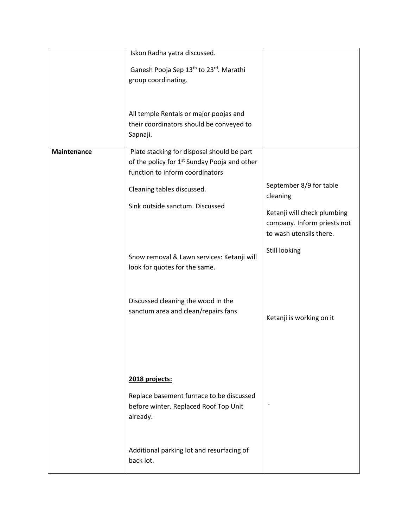|             | Iskon Radha yatra discussed.                                                                                                              |                                                                                       |
|-------------|-------------------------------------------------------------------------------------------------------------------------------------------|---------------------------------------------------------------------------------------|
|             | Ganesh Pooja Sep 13 <sup>th</sup> to 23 <sup>rd</sup> . Marathi<br>group coordinating.                                                    |                                                                                       |
|             | All temple Rentals or major poojas and<br>their coordinators should be conveyed to<br>Sapnaji.                                            |                                                                                       |
| Maintenance | Plate stacking for disposal should be part<br>of the policy for 1 <sup>st</sup> Sunday Pooja and other<br>function to inform coordinators |                                                                                       |
|             | Cleaning tables discussed.                                                                                                                | September 8/9 for table<br>cleaning                                                   |
|             | Sink outside sanctum. Discussed                                                                                                           | Ketanji will check plumbing<br>company. Inform priests not<br>to wash utensils there. |
|             | Snow removal & Lawn services: Ketanji will<br>look for quotes for the same.                                                               | Still looking                                                                         |
|             | Discussed cleaning the wood in the<br>sanctum area and clean/repairs fans                                                                 | Ketanji is working on it                                                              |
|             | 2018 projects:<br>Replace basement furnace to be discussed<br>before winter. Replaced Roof Top Unit<br>already.                           |                                                                                       |
|             | Additional parking lot and resurfacing of<br>back lot.                                                                                    |                                                                                       |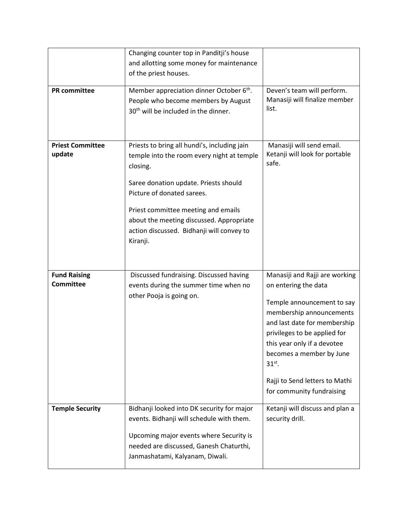| <b>PR</b> committee                     | Changing counter top in Panditji's house<br>and allotting some money for maintenance<br>of the priest houses.<br>Member appreciation dinner October 6 <sup>th</sup> .                                                                                                                                                     | Deven's team will perform.                                                                                                                                                                                                                                                                                             |
|-----------------------------------------|---------------------------------------------------------------------------------------------------------------------------------------------------------------------------------------------------------------------------------------------------------------------------------------------------------------------------|------------------------------------------------------------------------------------------------------------------------------------------------------------------------------------------------------------------------------------------------------------------------------------------------------------------------|
|                                         | People who become members by August<br>30 <sup>th</sup> will be included in the dinner.                                                                                                                                                                                                                                   | Manasiji will finalize member<br>list.                                                                                                                                                                                                                                                                                 |
| <b>Priest Committee</b><br>update       | Priests to bring all hundi's, including jain<br>temple into the room every night at temple<br>closing.<br>Saree donation update. Priests should<br>Picture of donated sarees.<br>Priest committee meeting and emails<br>about the meeting discussed. Appropriate<br>action discussed. Bidhanji will convey to<br>Kiranji. | Manasiji will send email.<br>Ketanji will look for portable<br>safe.                                                                                                                                                                                                                                                   |
| <b>Fund Raising</b><br><b>Committee</b> | Discussed fundraising. Discussed having<br>events during the summer time when no<br>other Pooja is going on.                                                                                                                                                                                                              | Manasiji and Rajji are working<br>on entering the data<br>Temple announcement to say<br>membership announcements<br>and last date for membership<br>privileges to be applied for<br>this year only if a devotee<br>becomes a member by June<br>$31st$ .<br>Rajji to Send letters to Mathi<br>for community fundraising |
| <b>Temple Security</b>                  | Bidhanji looked into DK security for major<br>events. Bidhanji will schedule with them.<br>Upcoming major events where Security is<br>needed are discussed, Ganesh Chaturthi,<br>Janmashatami, Kalyanam, Diwali.                                                                                                          | Ketanji will discuss and plan a<br>security drill.                                                                                                                                                                                                                                                                     |